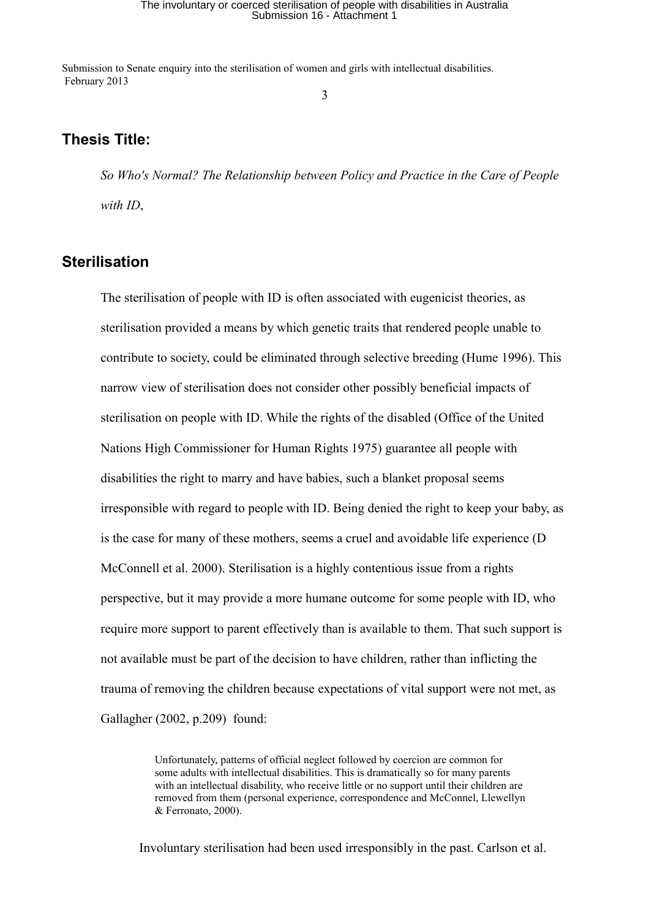#### 3

### **Thesis Title:**

*So Who's Normal? The Relationship between Policy and Practice in the Care of People with ID*,

### **Sterilisation**

The sterilisation of people with ID is often associated with eugenicist theories, as sterilisation provided a means by which genetic traits that rendered people unable to contribute to society, could be eliminated through selective breeding (Hume 1996). This narrow view of sterilisation does not consider other possibly beneficial impacts of sterilisation on people with ID. While the rights of the disabled (Office of the United Nations High Commissioner for Human Rights 1975) guarantee all people with disabilities the right to marry and have babies, such a blanket proposal seems irresponsible with regard to people with ID. Being denied the right to keep your baby, as is the case for many of these mothers, seems a cruel and avoidable life experience (D McConnell et al. 2000). Sterilisation is a highly contentious issue from a rights perspective, but it may provide a more humane outcome for some people with ID, who require more support to parent effectively than is available to them. That such support is not available must be part of the decision to have children, rather than inflicting the trauma of removing the children because expectations of vital support were not met, as Gallagher (2002, p.209) found:

> Unfortunately, patterns of official neglect followed by coercion are common for some adults with intellectual disabilities. This is dramatically so for many parents with an intellectual disability, who receive little or no support until their children are removed from them (personal experience, correspondence and McConnel, Llewellyn & Ferronato, 2000).

Involuntary sterilisation had been used irresponsibly in the past. Carlson et al.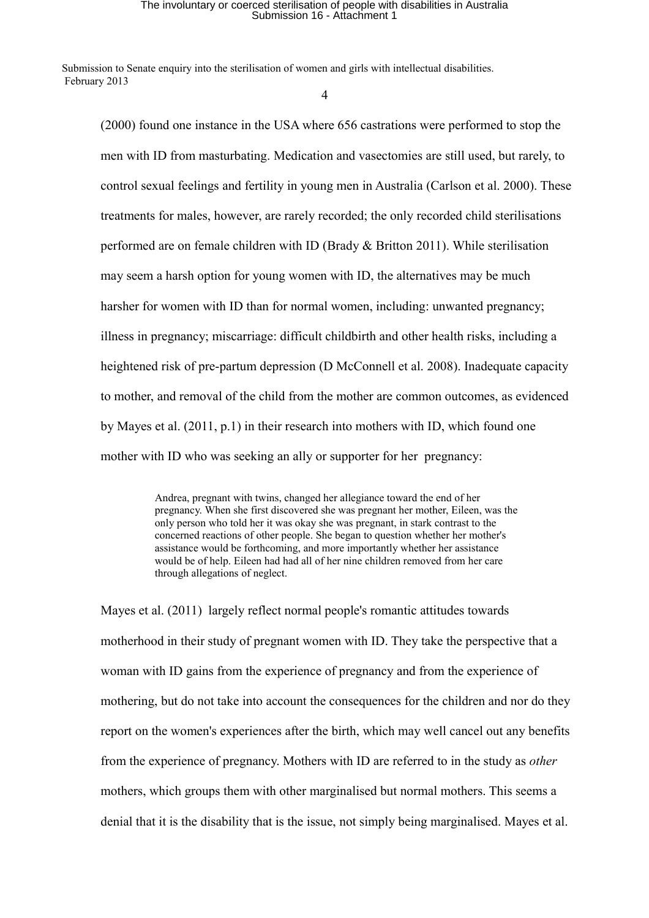4

(2000) found one instance in the USA where 656 castrations were performed to stop the men with ID from masturbating. Medication and vasectomies are still used, but rarely, to control sexual feelings and fertility in young men in Australia (Carlson et al. 2000). These treatments for males, however, are rarely recorded; the only recorded child sterilisations performed are on female children with ID (Brady & Britton 2011). While sterilisation may seem a harsh option for young women with ID, the alternatives may be much harsher for women with ID than for normal women, including: unwanted pregnancy; illness in pregnancy; miscarriage: difficult childbirth and other health risks, including a heightened risk of pre-partum depression (D McConnell et al. 2008). Inadequate capacity to mother, and removal of the child from the mother are common outcomes, as evidenced by Mayes et al. (2011, p.1) in their research into mothers with ID, which found one mother with ID who was seeking an ally or supporter for her pregnancy:

> Andrea, pregnant with twins, changed her allegiance toward the end of her pregnancy. When she first discovered she was pregnant her mother, Eileen, was the only person who told her it was okay she was pregnant, in stark contrast to the concerned reactions of other people. She began to question whether her mother's assistance would be forthcoming, and more importantly whether her assistance would be of help. Eileen had had all of her nine children removed from her care through allegations of neglect.

Mayes et al. (2011) largely reflect normal people's romantic attitudes towards motherhood in their study of pregnant women with ID. They take the perspective that a woman with ID gains from the experience of pregnancy and from the experience of mothering, but do not take into account the consequences for the children and nor do they report on the women's experiences after the birth, which may well cancel out any benefits from the experience of pregnancy. Mothers with ID are referred to in the study as *other* mothers, which groups them with other marginalised but normal mothers. This seems a denial that it is the disability that is the issue, not simply being marginalised. Mayes et al.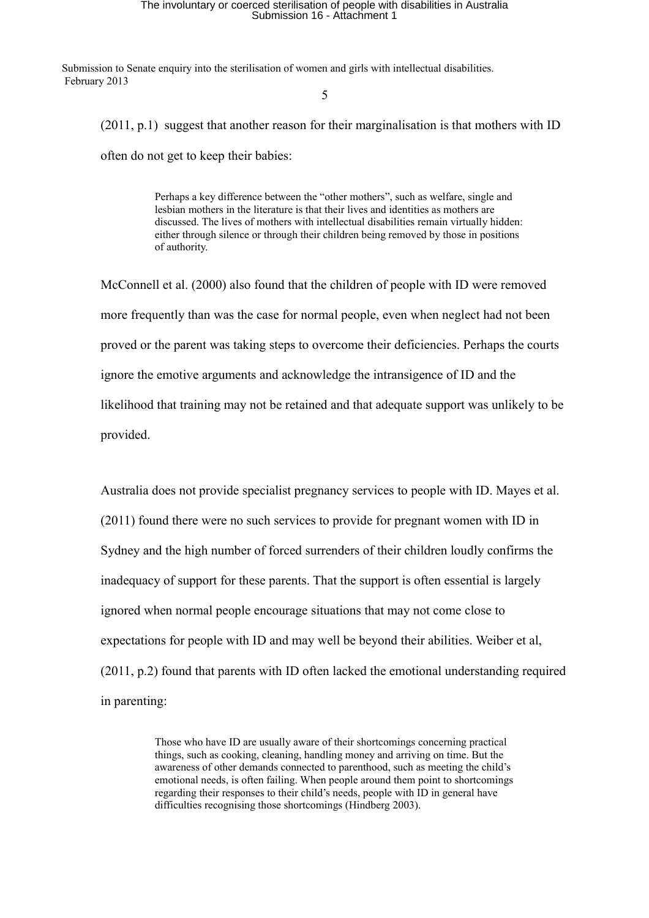(2011, p.1) suggest that another reason for their marginalisation is that mothers with ID often do not get to keep their babies:

> Perhaps a key difference between the "other mothers", such as welfare, single and lesbian mothers in the literature is that their lives and identities as mothers are discussed. The lives of mothers with intellectual disabilities remain virtually hidden: either through silence or through their children being removed by those in positions of authority.

McConnell et al. (2000) also found that the children of people with ID were removed more frequently than was the case for normal people, even when neglect had not been proved or the parent was taking steps to overcome their deficiencies. Perhaps the courts ignore the emotive arguments and acknowledge the intransigence of ID and the likelihood that training may not be retained and that adequate support was unlikely to be provided.

Australia does not provide specialist pregnancy services to people with ID. Mayes et al. (2011) found there were no such services to provide for pregnant women with ID in Sydney and the high number of forced surrenders of their children loudly confirms the inadequacy of support for these parents. That the support is often essential is largely ignored when normal people encourage situations that may not come close to expectations for people with ID and may well be beyond their abilities. Weiber et al, (2011, p.2) found that parents with ID often lacked the emotional understanding required in parenting:

> Those who have ID are usually aware of their shortcomings concerning practical things, such as cooking, cleaning, handling money and arriving on time. But the awareness of other demands connected to parenthood, such as meeting the child's emotional needs, is often failing. When people around them point to shortcomings regarding their responses to their child's needs, people with ID in general have difficulties recognising those shortcomings (Hindberg 2003).

5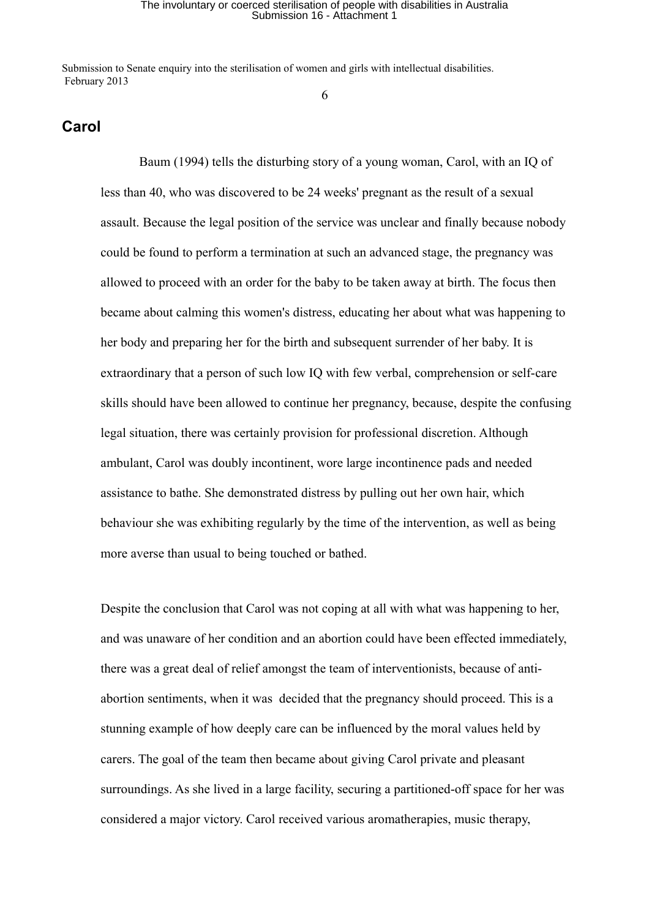6

### **Carol**

Baum (1994) tells the disturbing story of a young woman, Carol, with an IQ of less than 40, who was discovered to be 24 weeks' pregnant as the result of a sexual assault. Because the legal position of the service was unclear and finally because nobody could be found to perform a termination at such an advanced stage, the pregnancy was allowed to proceed with an order for the baby to be taken away at birth. The focus then became about calming this women's distress, educating her about what was happening to her body and preparing her for the birth and subsequent surrender of her baby. It is extraordinary that a person of such low IQ with few verbal, comprehension or self-care skills should have been allowed to continue her pregnancy, because, despite the confusing legal situation, there was certainly provision for professional discretion. Although ambulant, Carol was doubly incontinent, wore large incontinence pads and needed assistance to bathe. She demonstrated distress by pulling out her own hair, which behaviour she was exhibiting regularly by the time of the intervention, as well as being more averse than usual to being touched or bathed.

Despite the conclusion that Carol was not coping at all with what was happening to her, and was unaware of her condition and an abortion could have been effected immediately, there was a great deal of relief amongst the team of interventionists, because of antiabortion sentiments, when it was decided that the pregnancy should proceed. This is a stunning example of how deeply care can be influenced by the moral values held by carers. The goal of the team then became about giving Carol private and pleasant surroundings. As she lived in a large facility, securing a partitioned-off space for her was considered a major victory. Carol received various aromatherapies, music therapy,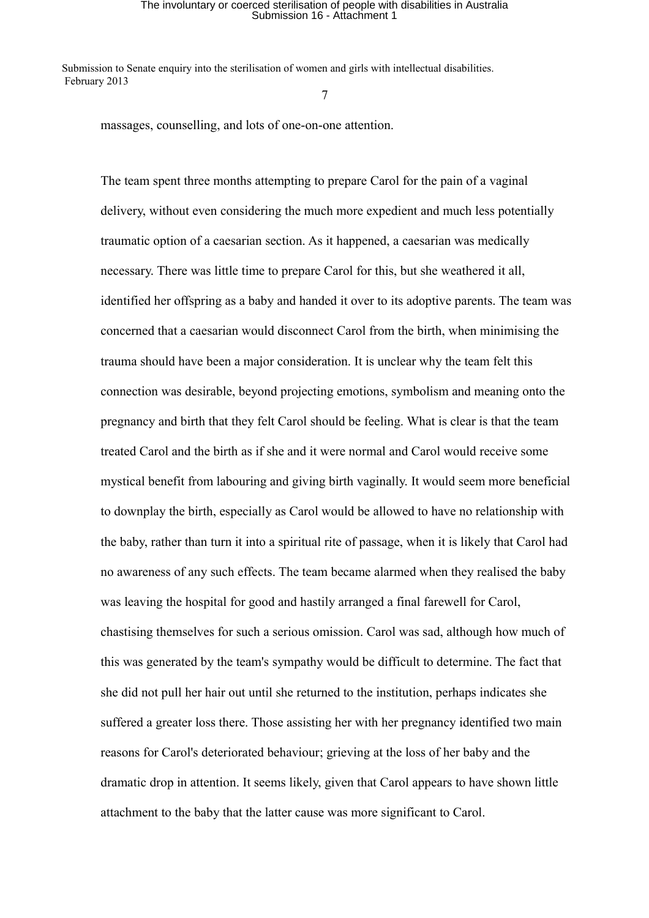### The involuntary or coerced sterilisation of people with disabilities in Australia Submission 16 - Attachment 1

Submission to Senate enquiry into the sterilisation of women and girls with intellectual disabilities. February 2013

7

massages, counselling, and lots of one-on-one attention.

The team spent three months attempting to prepare Carol for the pain of a vaginal delivery, without even considering the much more expedient and much less potentially traumatic option of a caesarian section. As it happened, a caesarian was medically necessary. There was little time to prepare Carol for this, but she weathered it all, identified her offspring as a baby and handed it over to its adoptive parents. The team was concerned that a caesarian would disconnect Carol from the birth, when minimising the trauma should have been a major consideration. It is unclear why the team felt this connection was desirable, beyond projecting emotions, symbolism and meaning onto the pregnancy and birth that they felt Carol should be feeling. What is clear is that the team treated Carol and the birth as if she and it were normal and Carol would receive some mystical benefit from labouring and giving birth vaginally. It would seem more beneficial to downplay the birth, especially as Carol would be allowed to have no relationship with the baby, rather than turn it into a spiritual rite of passage, when it is likely that Carol had no awareness of any such effects. The team became alarmed when they realised the baby was leaving the hospital for good and hastily arranged a final farewell for Carol, chastising themselves for such a serious omission. Carol was sad, although how much of this was generated by the team's sympathy would be difficult to determine. The fact that she did not pull her hair out until she returned to the institution, perhaps indicates she suffered a greater loss there. Those assisting her with her pregnancy identified two main reasons for Carol's deteriorated behaviour; grieving at the loss of her baby and the dramatic drop in attention. It seems likely, given that Carol appears to have shown little attachment to the baby that the latter cause was more significant to Carol.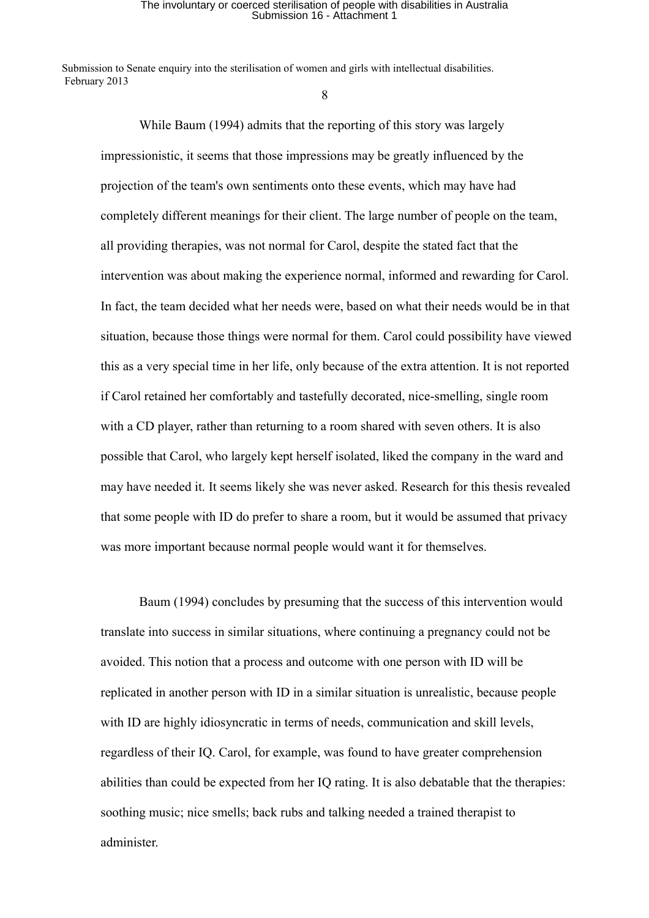## The involuntary or coerced sterilisation of people with disabilities in Australia Submission 16 - Attachment 1

Submission to Senate enquiry into the sterilisation of women and girls with intellectual disabilities. February 2013

8

While Baum (1994) admits that the reporting of this story was largely impressionistic, it seems that those impressions may be greatly influenced by the projection of the team's own sentiments onto these events, which may have had completely different meanings for their client. The large number of people on the team, all providing therapies, was not normal for Carol, despite the stated fact that the intervention was about making the experience normal, informed and rewarding for Carol. In fact, the team decided what her needs were, based on what their needs would be in that situation, because those things were normal for them. Carol could possibility have viewed this as a very special time in her life, only because of the extra attention. It is not reported if Carol retained her comfortably and tastefully decorated, nice-smelling, single room with a CD player, rather than returning to a room shared with seven others. It is also possible that Carol, who largely kept herself isolated, liked the company in the ward and may have needed it. It seems likely she was never asked. Research for this thesis revealed that some people with ID do prefer to share a room, but it would be assumed that privacy was more important because normal people would want it for themselves.

Baum (1994) concludes by presuming that the success of this intervention would translate into success in similar situations, where continuing a pregnancy could not be avoided. This notion that a process and outcome with one person with ID will be replicated in another person with ID in a similar situation is unrealistic, because people with ID are highly idiosyncratic in terms of needs, communication and skill levels, regardless of their IQ. Carol, for example, was found to have greater comprehension abilities than could be expected from her IQ rating. It is also debatable that the therapies: soothing music; nice smells; back rubs and talking needed a trained therapist to administer.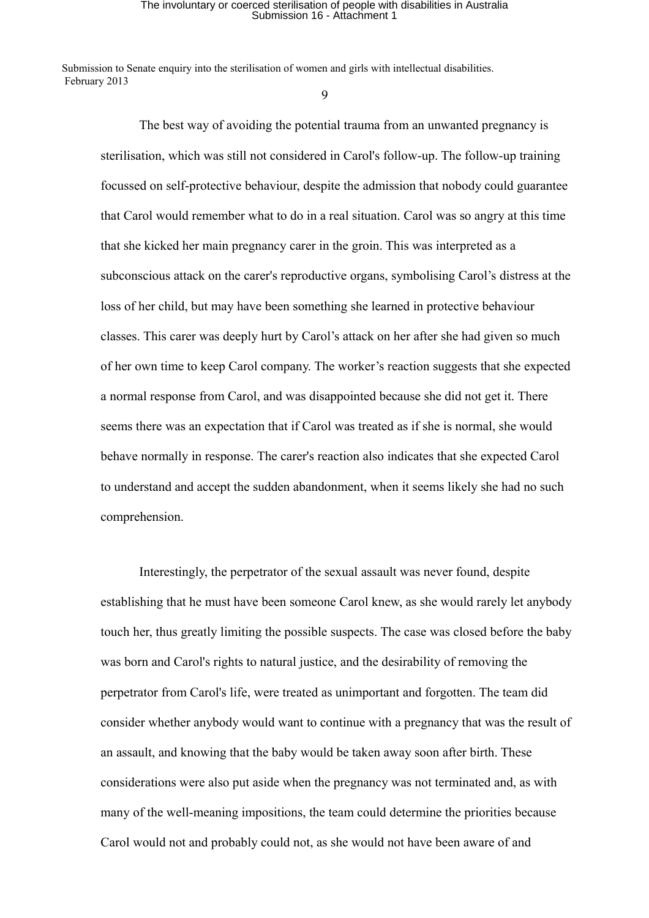### The involuntary or coerced sterilisation of people with disabilities in Australia<br>Submission 16 - Attachment 1

Submission to Senate enquiry into the sterilisation of women and girls with intellectual disabilities. February 2013

 $\overline{Q}$ 

The best way of avoiding the potential trauma from an unwanted pregnancy is sterilisation, which was still not considered in Carol's follow-up. The follow-up training focussed on self-protective behaviour, despite the admission that nobody could guarantee that Carol would remember what to do in a real situation. Carol was so angry at this time that she kicked her main pregnancy carer in the groin. This was interpreted as a subconscious attack on the carer's reproductive organs, symbolising Carol's distress at the loss of her child, but may have been something she learned in protective behaviour classes. This carer was deeply hurt by Carol's attack on her after she had given so much of her own time to keep Carol company. The worker's reaction suggests that she expected a normal response from Carol, and was disappointed because she did not get it. There seems there was an expectation that if Carol was treated as if she is normal, she would behave normally in response. The carer's reaction also indicates that she expected Carol to understand and accept the sudden abandonment, when it seems likely she had no such comprehension.

Interestingly, the perpetrator of the sexual assault was never found, despite establishing that he must have been someone Carol knew, as she would rarely let anybody touch her, thus greatly limiting the possible suspects. The case was closed before the baby was born and Carol's rights to natural justice, and the desirability of removing the perpetrator from Carol's life, were treated as unimportant and forgotten. The team did consider whether anybody would want to continue with a pregnancy that was the result of an assault, and knowing that the baby would be taken away soon after birth. These considerations were also put aside when the pregnancy was not terminated and, as with many of the well-meaning impositions, the team could determine the priorities because Carol would not and probably could not, as she would not have been aware of and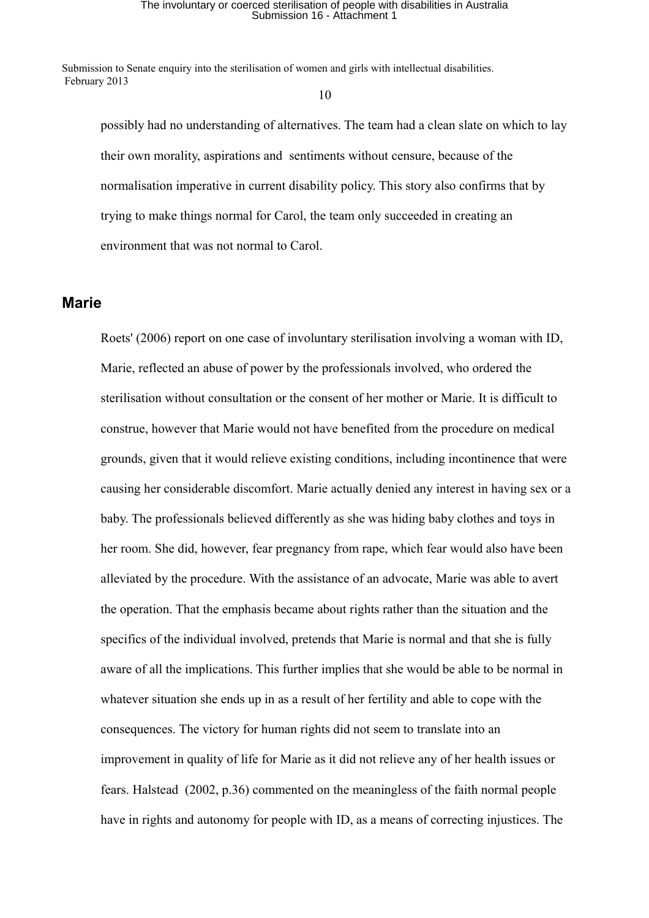10

possibly had no understanding of alternatives. The team had a clean slate on which to lay their own morality, aspirations and sentiments without censure, because of the normalisation imperative in current disability policy. This story also confirms that by trying to make things normal for Carol, the team only succeeded in creating an environment that was not normal to Carol.

### **Marie**

Roets' (2006) report on one case of involuntary sterilisation involving a woman with ID, Marie, reflected an abuse of power by the professionals involved, who ordered the sterilisation without consultation or the consent of her mother or Marie. It is difficult to construe, however that Marie would not have benefited from the procedure on medical grounds, given that it would relieve existing conditions, including incontinence that were causing her considerable discomfort. Marie actually denied any interest in having sex or a baby. The professionals believed differently as she was hiding baby clothes and toys in her room. She did, however, fear pregnancy from rape, which fear would also have been alleviated by the procedure. With the assistance of an advocate, Marie was able to avert the operation. That the emphasis became about rights rather than the situation and the specifics of the individual involved, pretends that Marie is normal and that she is fully aware of all the implications. This further implies that she would be able to be normal in whatever situation she ends up in as a result of her fertility and able to cope with the consequences. The victory for human rights did not seem to translate into an improvement in quality of life for Marie as it did not relieve any of her health issues or fears. Halstead (2002, p.36) commented on the meaningless of the faith normal people have in rights and autonomy for people with ID, as a means of correcting injustices. The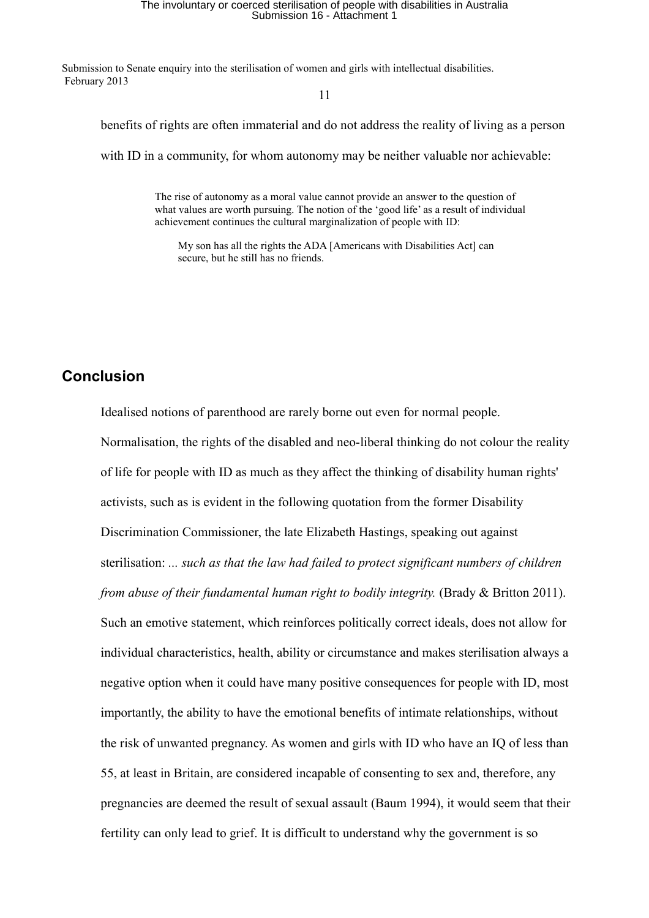11

benefits of rights are often immaterial and do not address the reality of living as a person

with ID in a community, for whom autonomy may be neither valuable nor achievable:

The rise of autonomy as a moral value cannot provide an answer to the question of what values are worth pursuing. The notion of the 'good life' as a result of individual achievement continues the cultural marginalization of people with ID:

My son has all the rights the ADA [Americans with Disabilities Act] can secure, but he still has no friends.

### **Conclusion**

Idealised notions of parenthood are rarely borne out even for normal people.

Normalisation, the rights of the disabled and neo-liberal thinking do not colour the reality of life for people with ID as much as they affect the thinking of disability human rights' activists, such as is evident in the following quotation from the former Disability Discrimination Commissioner, the late Elizabeth Hastings, speaking out against sterilisation: *... such as that the law had failed to protect significant numbers of children from abuse of their fundamental human right to bodily integrity.* (Brady & Britton 2011). Such an emotive statement, which reinforces politically correct ideals, does not allow for individual characteristics, health, ability or circumstance and makes sterilisation always a negative option when it could have many positive consequences for people with ID, most importantly, the ability to have the emotional benefits of intimate relationships, without the risk of unwanted pregnancy. As women and girls with ID who have an IQ of less than 55, at least in Britain, are considered incapable of consenting to sex and, therefore, any pregnancies are deemed the result of sexual assault (Baum 1994), it would seem that their fertility can only lead to grief. It is difficult to understand why the government is so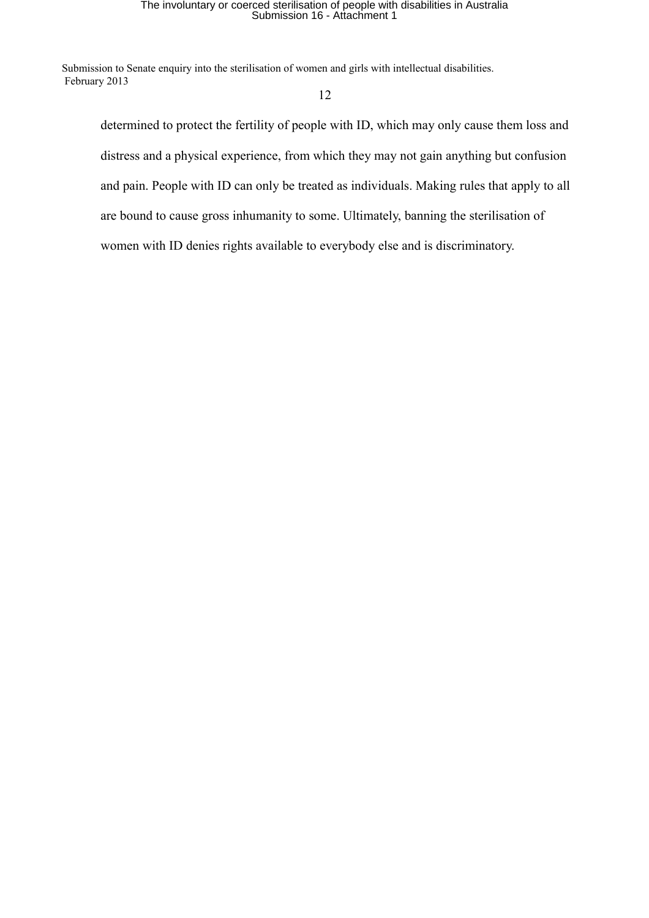# The involuntary or coerced sterilisation of people with disabilities in Australia Submission 16 - Attachment 1

Submission to Senate enquiry into the sterilisation of women and girls with intellectual disabilities. February 2013

#### 12

determined to protect the fertility of people with ID, which may only cause them loss and distress and a physical experience, from which they may not gain anything but confusion and pain. People with ID can only be treated as individuals. Making rules that apply to all are bound to cause gross inhumanity to some. Ultimately, banning the sterilisation of women with ID denies rights available to everybody else and is discriminatory.